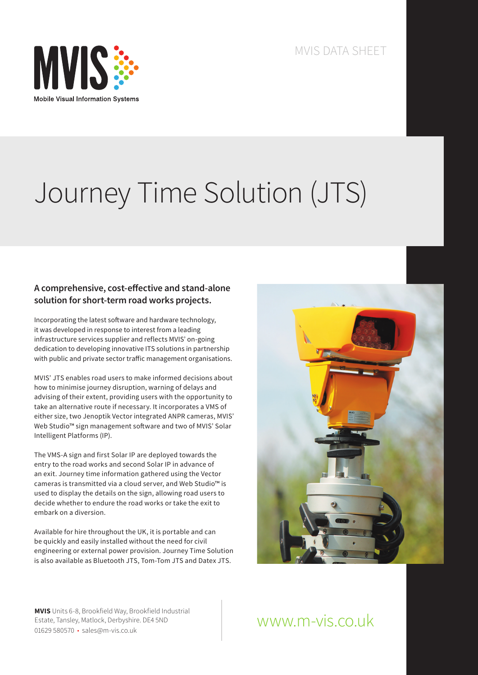

MVIS DATA SHEET

# Journey Time Solution (JTS)

#### **A comprehensive, cost-effective and stand-alone solution for short-term road works projects.**

Incorporating the latest software and hardware technology, it was developed in response to interest from a leading infrastructure services supplier and reflects MVIS' on-going dedication to developing innovative ITS solutions in partnership with public and private sector traffic management organisations.

MVIS' JTS enables road users to make informed decisions about how to minimise journey disruption, warning of delays and advising of their extent, providing users with the opportunity to take an alternative route if necessary. It incorporates a VMS of either size, two Jenoptik Vector integrated ANPR cameras, MVIS' Web Studio™ sign management software and two of MVIS' Solar Intelligent Platforms (IP).

The VMS-A sign and first Solar IP are deployed towards the entry to the road works and second Solar IP in advance of an exit. Journey time information gathered using the Vector cameras is transmitted via a cloud server, and Web Studio™ is used to display the details on the sign, allowing road users to decide whether to endure the road works or take the exit to embark on a diversion.

Available for hire throughout the UK, it is portable and can be quickly and easily installed without the need for civil engineering or external power provision. Journey Time Solution is also available as Bluetooth JTS, Tom-Tom JTS and Datex JTS.



**MVIS** Units 6-8, Brookfield Way, Brookfield Industrial Estate, Tansley, Matlock, Derbyshire. DE4 5ND 01629 580570 • sales@m-vis.co.uk

## www.m-vis.co.uk